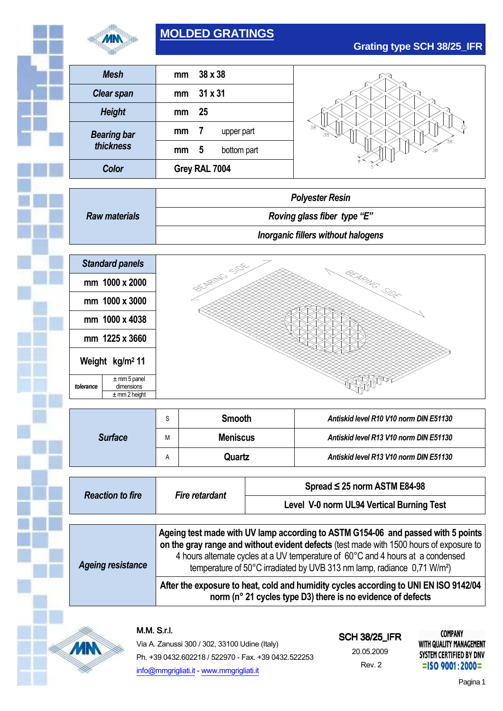

# **MOLDED GRATINGS**

**Grating type SCH 38/25\_IFR**

| <b>Mesh</b>                                                    |                                           | 38 x 38<br>mm                |  |                                        |  |  |
|----------------------------------------------------------------|-------------------------------------------|------------------------------|--|----------------------------------------|--|--|
| <b>Clear span</b>                                              |                                           | 31 x 31<br>mm                |  |                                        |  |  |
| <b>Height</b>                                                  | mm                                        | 25                           |  |                                        |  |  |
| <b>Bearing bar</b>                                             | mm                                        | $\overline{7}$<br>upper part |  |                                        |  |  |
| thickness                                                      | mm                                        | 5<br>bottom part             |  |                                        |  |  |
| Color                                                          |                                           | Grey RAL 7004                |  |                                        |  |  |
|                                                                |                                           |                              |  | <b>Polyester Resin</b>                 |  |  |
| <b>Raw materials</b>                                           | Roving glass fiber type "E"               |                              |  |                                        |  |  |
|                                                                | <b>Inorganic fillers without halogens</b> |                              |  |                                        |  |  |
|                                                                |                                           |                              |  |                                        |  |  |
| <b>Standard panels</b>                                         |                                           |                              |  |                                        |  |  |
| mm 1000 x 2000                                                 | <b>PERTHIE</b> SOL<br>BEARNE SIDE         |                              |  |                                        |  |  |
| mm 1000 x 3000                                                 |                                           |                              |  |                                        |  |  |
| mm 1000 x 4038                                                 |                                           |                              |  |                                        |  |  |
| mm 1225 x 3660                                                 |                                           |                              |  |                                        |  |  |
| Weight kg/m <sup>2</sup> 11                                    |                                           |                              |  |                                        |  |  |
| $±$ mm 5 panel<br>tolerance<br>dimensions<br>$\pm$ mm 2 height |                                           |                              |  |                                        |  |  |
|                                                                |                                           |                              |  |                                        |  |  |
|                                                                | S                                         | <b>Smooth</b>                |  | Antiskid level R10 V10 norm DIN E51130 |  |  |
| <b>Surface</b>                                                 | М                                         | <b>Meniscus</b>              |  | Antiskid level R13 V10 norm DIN E51130 |  |  |
|                                                                | Quartz<br>A                               |                              |  | Antiskid level R13 V10 norm DIN E51130 |  |  |
|                                                                |                                           |                              |  |                                        |  |  |

| Reaguon Io III e         | Fil e Telai ualit                                                                                                                                                           | Level V-0 norm UL94 Vertical Burning Test |  |  |  |
|--------------------------|-----------------------------------------------------------------------------------------------------------------------------------------------------------------------------|-------------------------------------------|--|--|--|
| <b>Ageing resistance</b> | Ageing test made with UV lamp according to ASTM G154-06 and passed with 5 points<br>on the gray range and without evident defects (test made with 1500 hours of exposure to |                                           |  |  |  |
|                          | 4 hours alternate cycles at a UV temperature of 60°C and 4 hours at a condensed<br>temperature of 50°C irradiated by UVB 313 nm lamp, radiance 0,71 W/m <sup>2</sup> )      |                                           |  |  |  |
|                          | After the exposure to heat, cold and humidity cycles according to UNI EN ISO 9142/04<br>norm (n° 21 cycles type D3) there is no evidence of defects                         |                                           |  |  |  |



**MN** 

Via A. Zanussi 300 / 302, 33100 Udine (Italy) Ph. +39 0432.602218 / 522970 - Fax. +39 0432.522253 info@mmgrigliati.it - www.mmgrigliati.it

## SCH 38/25\_IFR